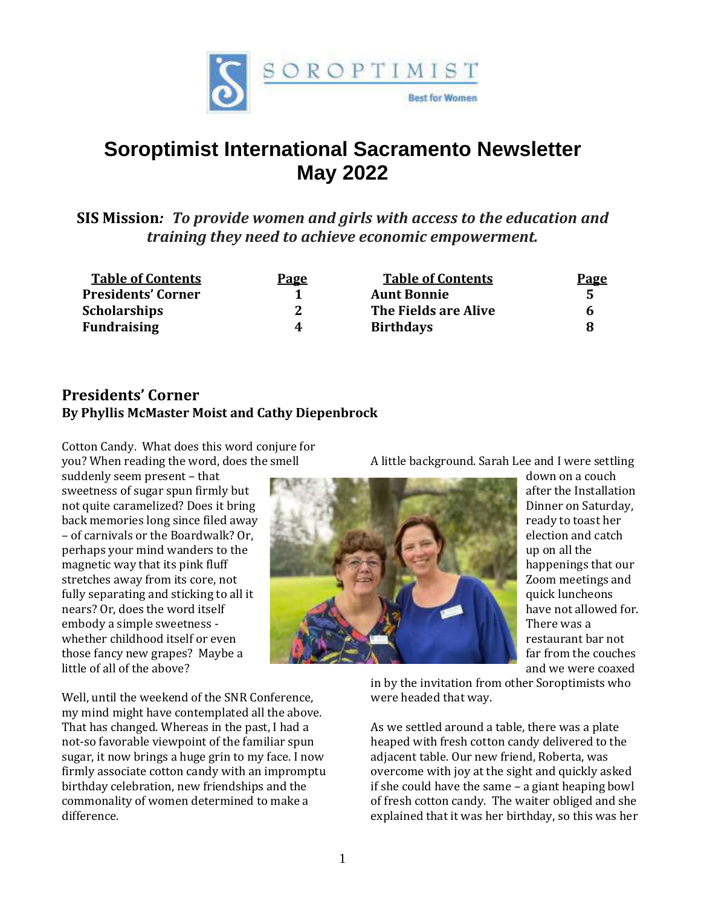

# **Soroptimist International Sacramento Newsletter May 2022**

**SIS Mission***: To provide women and girls with access to the education and training they need to achieve economic empowerment.*

| <b>Table of Contents</b>  | <u>Page</u> | <b>Table of Contents</b> | <b>Page</b> |
|---------------------------|-------------|--------------------------|-------------|
| <b>Presidents' Corner</b> |             | <b>Aunt Bonnie</b>       |             |
| <b>Scholarships</b>       | 2           | The Fields are Alive     | 'n          |
| <b>Fundraising</b>        | 4           | <b>Birthdays</b>         |             |

# **Presidents' Corner By Phyllis McMaster Moist and Cathy Diepenbrock**

Cotton Candy. What does this word conjure for you? When reading the word, does the smell

suddenly seem present – that sweetness of sugar spun firmly but not quite caramelized? Does it bring back memories long since filed away – of carnivals or the Boardwalk? Or, perhaps your mind wanders to the magnetic way that its pink fluff stretches away from its core, not fully separating and sticking to all it nears? Or, does the word itself embody a simple sweetness whether childhood itself or even those fancy new grapes? Maybe a little of all of the above?

Well, until the weekend of the SNR Conference, my mind might have contemplated all the above. That has changed. Whereas in the past, I had a not-so favorable viewpoint of the familiar spun sugar, it now brings a huge grin to my face. I now firmly associate cotton candy with an impromptu birthday celebration, new friendships and the commonality of women determined to make a difference.

A little background. Sarah Lee and I were settling



down on a couch after the Installation Dinner on Saturday, ready to toast her election and catch up on all the happenings that our Zoom meetings and quick luncheons have not allowed for. There was a restaurant bar not far from the couches and we were coaxed

in by the invitation from other Soroptimists who were headed that way.

As we settled around a table, there was a plate heaped with fresh cotton candy delivered to the adjacent table. Our new friend, Roberta, was overcome with joy at the sight and quickly asked if she could have the same – a giant heaping bowl of fresh cotton candy. The waiter obliged and she explained that it was her birthday, so this was her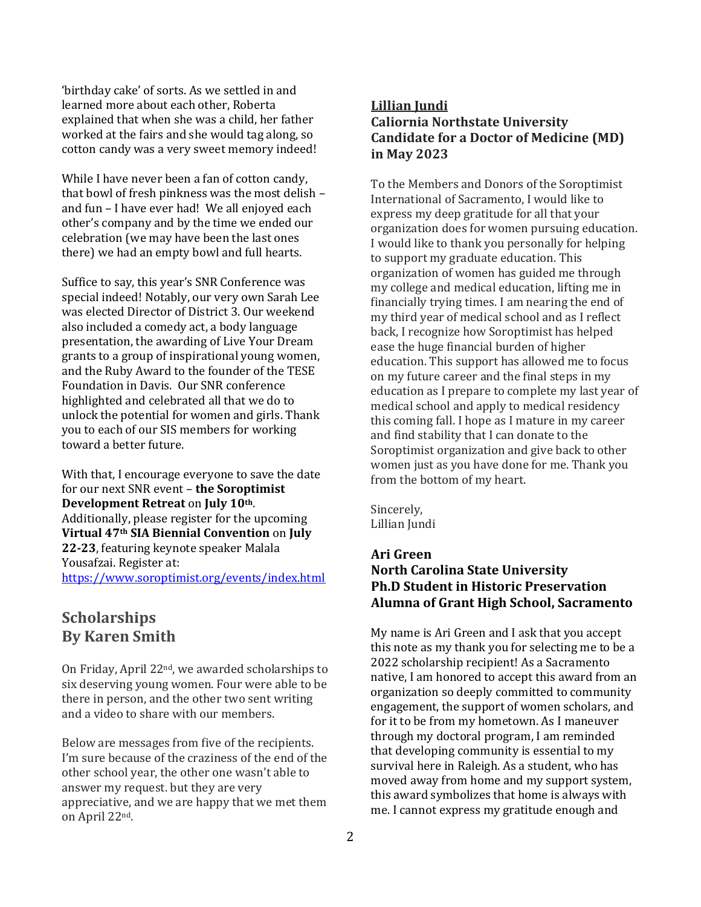'birthday cake' of sorts. As we settled in and learned more about each other, Roberta explained that when she was a child, her father worked at the fairs and she would tag along, so cotton candy was a very sweet memory indeed!

While I have never been a fan of cotton candy, that bowl of fresh pinkness was the most delish – and fun – I have ever had! We all enjoyed each other's company and by the time we ended our celebration (we may have been the last ones there) we had an empty bowl and full hearts.

Suffice to say, this year's SNR Conference was special indeed! Notably, our very own Sarah Lee was elected Director of District 3. Our weekend also included a comedy act, a body language presentation, the awarding of Live Your Dream grants to a group of inspirational young women, and the Ruby Award to the founder of the TESE Foundation in Davis. Our SNR conference highlighted and celebrated all that we do to unlock the potential for women and girls. Thank you to each of our SIS members for working toward a better future.

With that, I encourage everyone to save the date for our next SNR event – **the Soroptimist Development Retreat** on **July 10th**. Additionally, please register for the upcoming **Virtual 47th SIA Biennial Convention** on **July 22-23**, featuring keynote speaker Malala Yousafzai. Register at: <https://www.soroptimist.org/events/index.html>

# **Scholarships By Karen Smith**

On Friday, April 22nd, we awarded scholarships to six deserving young women. Four were able to be there in person, and the other two sent writing and a video to share with our members.

Below are messages from five of the recipients. I'm sure because of the craziness of the end of the other school year, the other one wasn't able to answer my request. but they are very appreciative, and we are happy that we met them on April 22nd.

# **Lillian Jundi Caliornia Northstate University Candidate for a Doctor of Medicine (MD) in May 2023**

To the Members and Donors of the Soroptimist International of Sacramento, I would like to express my deep gratitude for all that your organization does for women pursuing education. I would like to thank you personally for helping to support my graduate education. This organization of women has guided me through my college and medical education, lifting me in financially trying times. I am nearing the end of my third year of medical school and as I reflect back, I recognize how Soroptimist has helped ease the huge financial burden of higher education. This support has allowed me to focus on my future career and the final steps in my education as I prepare to complete my last year of medical school and apply to medical residency this coming fall. I hope as I mature in my career and find stability that I can donate to the Soroptimist organization and give back to other women just as you have done for me. Thank you from the bottom of my heart.

Sincerely, Lillian Jundi

# **Ari Green North Carolina State University Ph.D Student in Historic Preservation Alumna of Grant High School, Sacramento**

My name is Ari Green and I ask that you accept this note as my thank you for selecting me to be a 2022 scholarship recipient! As a Sacramento native, I am honored to accept this award from an organization so deeply committed to community engagement, the support of women scholars, and for it to be from my hometown. As I maneuver through my doctoral program, I am reminded that developing community is essential to my survival here in Raleigh. As a student, who has moved away from home and my support system, this award symbolizes that home is always with me. I cannot express my gratitude enough and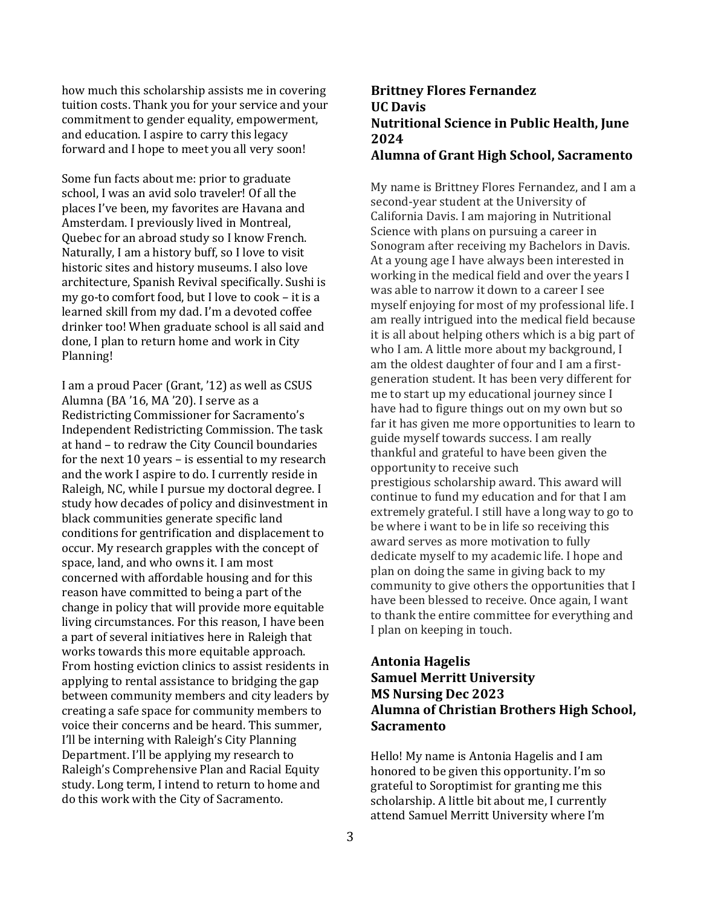how much this scholarship assists me in covering tuition costs. Thank you for your service and your commitment to gender equality, empowerment, and education. I aspire to carry this legacy forward and I hope to meet you all very soon!

Some fun facts about me: prior to graduate school, I was an avid solo traveler! Of all the places I've been, my favorites are Havana and Amsterdam. I previously lived in Montreal, Quebec for an abroad study so I know French. Naturally, I am a history buff, so I love to visit historic sites and history museums. I also love architecture, Spanish Revival specifically. Sushi is my go-to comfort food, but I love to cook – it is a learned skill from my dad. I'm a devoted coffee drinker too! When graduate school is all said and done, I plan to return home and work in City Planning!

I am a proud Pacer (Grant, '12) as well as CSUS Alumna (BA '16, MA '20). I serve as a Redistricting Commissioner for Sacramento's Independent Redistricting Commission. The task at hand – to redraw the City Council boundaries for the next 10 years – is essential to my research and the work I aspire to do. I currently reside in Raleigh, NC, while I pursue my doctoral degree. I study how decades of policy and disinvestment in black communities generate specific land conditions for gentrification and displacement to occur. My research grapples with the concept of space, land, and who owns it. I am most concerned with affordable housing and for this reason have committed to being a part of the change in policy that will provide more equitable living circumstances. For this reason, I have been a part of several initiatives here in Raleigh that works towards this more equitable approach. From hosting eviction clinics to assist residents in applying to rental assistance to bridging the gap between community members and city leaders by creating a safe space for community members to voice their concerns and be heard. This summer, I'll be interning with Raleigh's City Planning Department. I'll be applying my research to Raleigh's Comprehensive Plan and Racial Equity study. Long term, I intend to return to home and do this work with the City of Sacramento.

### **Brittney Flores Fernandez UC Davis Nutritional Science in Public Health, June 2024 Alumna of Grant High School, Sacramento**

My name is Brittney Flores Fernandez, and I am a second-year student at the University of California Davis. I am majoring in Nutritional Science with plans on pursuing a career in Sonogram after receiving my Bachelors in Davis. At a young age I have always been interested in working in the medical field and over the years I was able to narrow it down to a career I see myself enjoying for most of my professional life. I am really intrigued into the medical field because it is all about helping others which is a big part of who I am. A little more about my background, I am the oldest daughter of four and I am a firstgeneration student. It has been very different for me to start up my educational journey since I have had to figure things out on my own but so far it has given me more opportunities to learn to guide myself towards success. I am really thankful and grateful to have been given the opportunity to receive such prestigious scholarship award. This award will continue to fund my education and for that I am extremely grateful. I still have a long way to go to be where i want to be in life so receiving this award serves as more motivation to fully dedicate myself to my academic life. I hope and plan on doing the same in giving back to my community to give others the opportunities that I have been blessed to receive. Once again, I want to thank the entire committee for everything and I plan on keeping in touch.

# **Antonia Hagelis Samuel Merritt University MS Nursing Dec 2023 Alumna of Christian Brothers High School, Sacramento**

Hello! My name is Antonia Hagelis and I am honored to be given this opportunity. I'm so grateful to Soroptimist for granting me this scholarship. A little bit about me, I currently attend Samuel Merritt University where I'm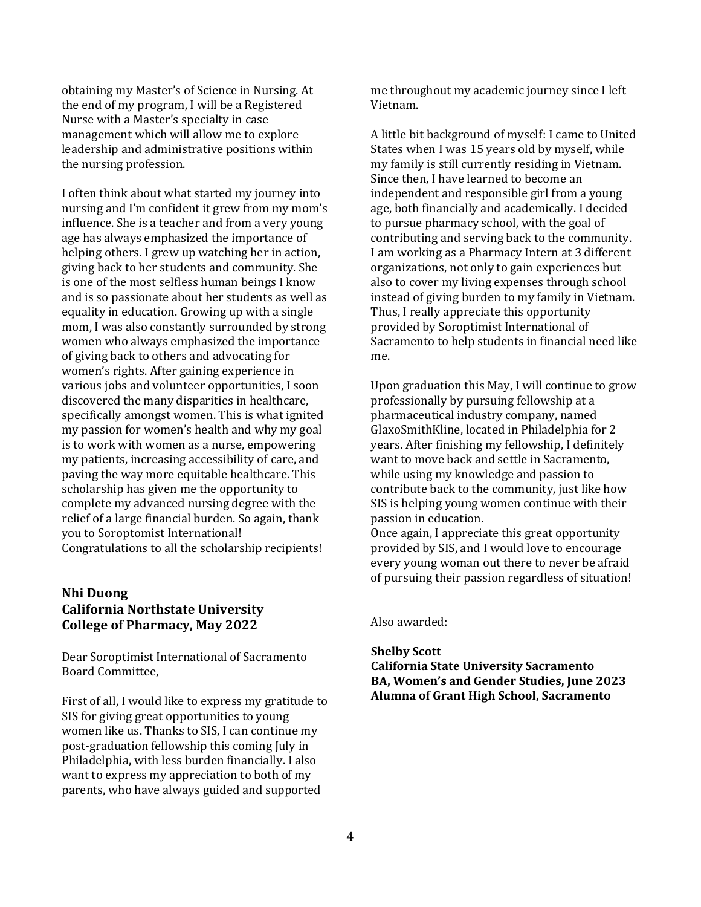obtaining my Master's of Science in Nursing. At the end of my program, I will be a Registered Nurse with a Master's specialty in case management which will allow me to explore leadership and administrative positions within the nursing profession.

I often think about what started my journey into nursing and I'm confident it grew from my mom's influence. She is a teacher and from a very young age has always emphasized the importance of helping others. I grew up watching her in action, giving back to her students and community. She is one of the most selfless human beings I know and is so passionate about her students as well as equality in education. Growing up with a single mom, I was also constantly surrounded by strong women who always emphasized the importance of giving back to others and advocating for women's rights. After gaining experience in various jobs and volunteer opportunities, I soon discovered the many disparities in healthcare, specifically amongst women. This is what ignited my passion for women's health and why my goal is to work with women as a nurse, empowering my patients, increasing accessibility of care, and paving the way more equitable healthcare. This scholarship has given me the opportunity to complete my advanced nursing degree with the relief of a large financial burden. So again, thank you to Soroptomist International! Congratulations to all the scholarship recipients!

# **Nhi Duong California Northstate University College of Pharmacy, May 2022**

Dear Soroptimist International of Sacramento Board Committee,

First of all, I would like to express my gratitude to SIS for giving great opportunities to young women like us. Thanks to SIS, I can continue my post-graduation fellowship this coming July in Philadelphia, with less burden financially. I also want to express my appreciation to both of my parents, who have always guided and supported

me throughout my academic journey since I left Vietnam.

A little bit background of myself: I came to United States when I was 15 years old by myself, while my family is still currently residing in Vietnam. Since then, I have learned to become an independent and responsible girl from a young age, both financially and academically. I decided to pursue pharmacy school, with the goal of contributing and serving back to the community. I am working as a Pharmacy Intern at 3 different organizations, not only to gain experiences but also to cover my living expenses through school instead of giving burden to my family in Vietnam. Thus, I really appreciate this opportunity provided by Soroptimist International of Sacramento to help students in financial need like me.

Upon graduation this May, I will continue to grow professionally by pursuing fellowship at a pharmaceutical industry company, named GlaxoSmithKline, located in Philadelphia for 2 years. After finishing my fellowship, I definitely want to move back and settle in Sacramento, while using my knowledge and passion to contribute back to the community, just like how SIS is helping young women continue with their passion in education.

Once again, I appreciate this great opportunity provided by SIS, and I would love to encourage every young woman out there to never be afraid of pursuing their passion regardless of situation!

Also awarded:

#### **Shelby Scott**

**California State University Sacramento BA, Women's and Gender Studies, June 2023 Alumna of Grant High School, Sacramento**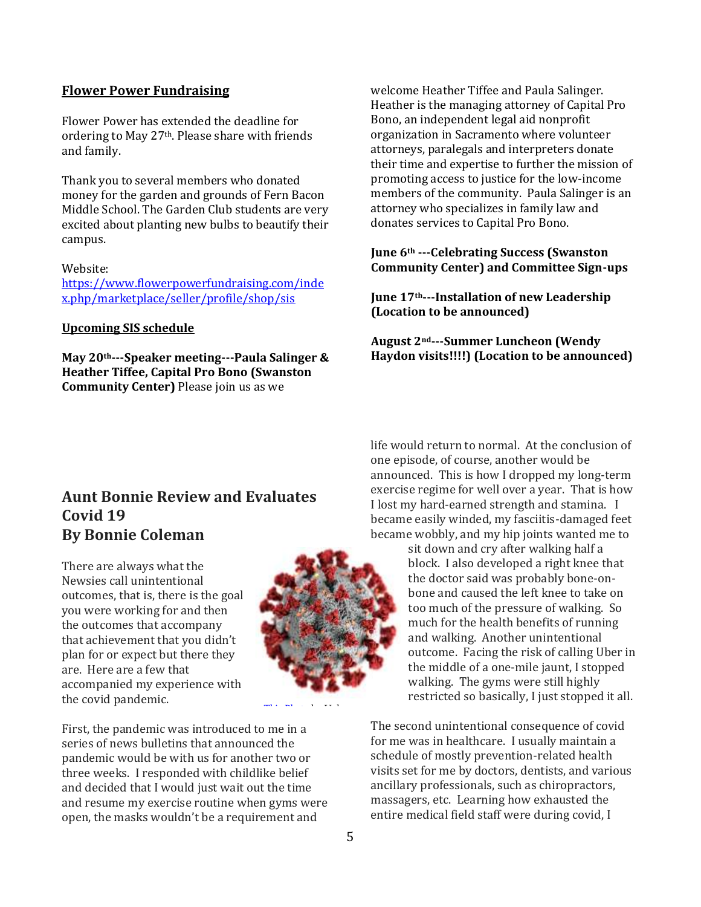#### **Flower Power Fundraising**

Flower Power has extended the deadline for ordering to May 27th. Please share with friends and family.

Thank you to several members who donated money for the garden and grounds of Fern Bacon Middle School. The Garden Club students are very excited about planting new bulbs to beautify their campus.

#### Website:

[https://www.flowerpowerfundraising.com/inde](about:blank) [x.php/marketplace/seller/profile/shop/sis](about:blank)

#### **Upcoming SIS schedule**

**May 20th---Speaker meeting---Paula Salinger & Heather Tiffee, Capital Pro Bono (Swanston Community Center)** Please join us as we

welcome Heather Tiffee and Paula Salinger. Heather is the managing attorney of Capital Pro Bono, an independent legal aid nonprofit organization in Sacramento where volunteer attorneys, paralegals and interpreters donate their time and expertise to further the mission of promoting access to justice for the low-income members of the community. Paula Salinger is an attorney who specializes in family law and donates services to Capital Pro Bono.

#### **June 6th ---Celebrating Success (Swanston Community Center) and Committee Sign-ups**

**June 17th---Installation of new Leadership (Location to be announced)** 

**August 2nd---Summer Luncheon (Wendy Haydon visits!!!!) (Location to be announced)**

life would return to normal. At the conclusion of

#### one episode, of course, another would be announced. This is how I dropped my long-term exercise regime for well over a year. That is how I lost my hard-earned strength and stamina. I became easily winded, my fasciitis-damaged feet became wobbly, and my hip joints wanted me to

sit down and cry after walking half a block. I also developed a right knee that the doctor said was probably bone-onbone and caused the left knee to take on too much of the pressure of walking. So much for the health benefits of running and walking. Another unintentional outcome. Facing the risk of calling Uber in the middle of a one-mile jaunt, I stopped walking. The gyms were still highly restricted so basically, I just stopped it all.

[The s](https://creativecommons.org/licenses/by/3.0/)econd unintentional consequence of covid for me was in healthcare. I usually maintain a schedule of mostly prevention-related health visits set for me by doctors, dentists, and various ancillary professionals, such as chiropractors, massagers, etc. Learning how exhausted the entire medical field staff were during covid, I

# **Aunt Bonnie Review and Evaluates Covid 19 By Bonnie Coleman**

There are always what the Newsies call unintentional outcomes, that is, there is the goal you were working for and then the outcomes that accompany that achievement that you didn't plan for or expect but there they are. Here are a few that accompanied my experience with the covid pandemic.

First, the pandemic was introduced t[o me](https://creativecommons.org/licenses/by/3.0/) in a series of news bulletins that announced the pandemic would be with us for another two or three weeks. I responded with childlike belief and decided that I would just wait out the time and resume my exercise routine when gyms were open, the masks wouldn't be a requirement and

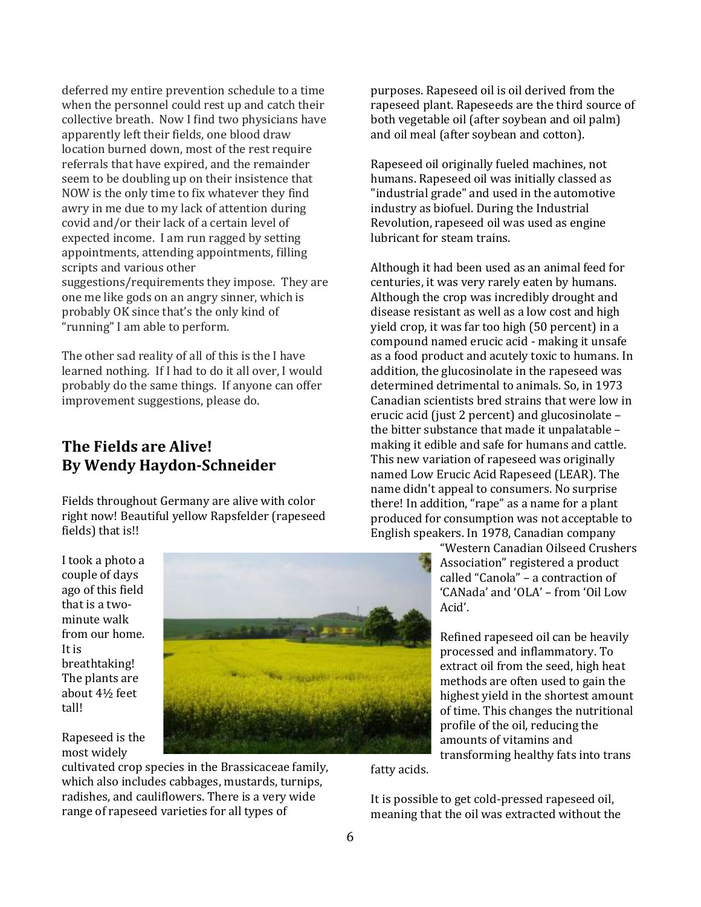deferred my entire prevention schedule to a time when the personnel could rest up and catch their collective breath. Now I find two physicians have apparently left their fields, one blood draw location burned down, most of the rest require referrals that have expired, and the remainder seem to be doubling up on their insistence that NOW is the only time to fix whatever they find awry in me due to my lack of attention during covid and/or their lack of a certain level of expected income. I am run ragged by setting appointments, attending appointments, filling scripts and various other suggestions/requirements they impose. They are one me like gods on an angry sinner, which is probably OK since that's the only kind of "running" I am able to perform.

The other sad reality of all of this is the I have learned nothing. If I had to do it all over, I would probably do the same things. If anyone can offer improvement suggestions, please do.

# **The Fields are Alive! By Wendy Haydon-Schneider**

Fields throughout Germany are alive with color right now! Beautiful yellow Rapsfelder (rapeseed fields) that is!!

I took a photo a couple of days ago of this field that is a twominute walk from our home. It is breathtaking! The plants are about 4½ feet tall!

Rapeseed is the most widely



cultivated crop species in the Brassicaceae family, which also includes cabbages, mustards, turnips, radishes, and cauliflowers. There is a very wide range of rapeseed varieties for all types of

purposes. Rapeseed oil is oil derived from the rapeseed plant. Rapeseeds are the third source of both vegetable oil (after soybean and oil palm) and oil meal (after soybean and cotton).

Rapeseed oil originally fueled machines, not humans. Rapeseed oil was initially classed as "industrial grade" and used in the automotive industry as biofuel. During the Industrial Revolution, rapeseed oil was used as engine lubricant for steam trains.

Although it had been used as an animal feed for centuries, it was very rarely eaten by humans. Although the crop was incredibly drought and disease resistant as well as a low cost and high yield crop, it was far too high (50 percent) in a compound named erucic acid - making it unsafe as a food product and acutely toxic to humans. In addition, the glucosinolate in the rapeseed was determined detrimental to animals. So, in 1973 Canadian scientists bred strains that were low in erucic acid (just 2 percent) and glucosinolate – the bitter substance that made it unpalatable – making it edible and safe for humans and cattle. This new variation of rapeseed was originally named Low Erucic Acid Rapeseed (LEAR). The name didn't appeal to consumers. No surprise there! In addition, "rape" as a name for a plant produced for consumption was not acceptable to English speakers. In 1978, Canadian company

"Western Canadian Oilseed Crushers Association" registered a product called "Canola" – a contraction of 'CANada' and 'OLA' – from 'Oil Low Acid'.

Refined rapeseed oil can be heavily processed and inflammatory. To extract oil from the seed, high heat methods are often used to gain the highest yield in the shortest amount of time. This changes the nutritional profile of the oil, reducing the amounts of vitamins and transforming healthy fats into trans

fatty acids.

It is possible to get cold-pressed rapeseed oil, meaning that the oil was extracted without the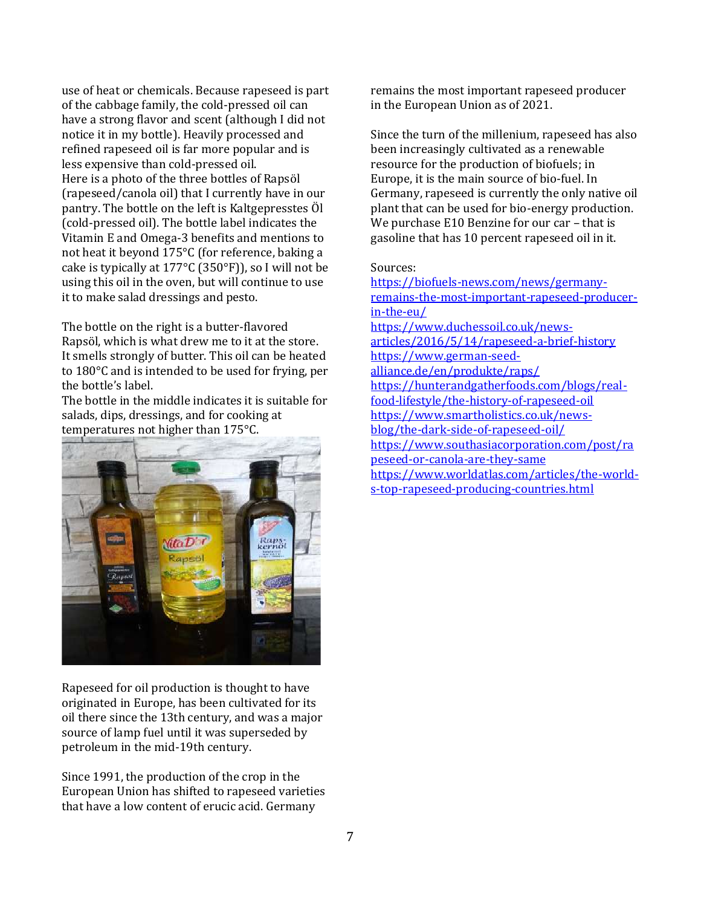use of heat or chemicals. Because rapeseed is part of the cabbage family, the cold-pressed oil can have a strong flavor and scent (although I did not notice it in my bottle). Heavily processed and refined rapeseed oil is far more popular and is less expensive than cold-pressed oil. Here is a photo of the three bottles of Rapsöl (rapeseed/canola oil) that I currently have in our pantry. The bottle on the left is Kaltgepresstes Öl (cold-pressed oil). The bottle label indicates the Vitamin E and Omega-3 benefits and mentions to not heat it beyond 175°C (for reference, baking a cake is typically at 177°C (350°F)), so I will not be using this oil in the oven, but will continue to use it to make salad dressings and pesto.

The bottle on the right is a butter-flavored Rapsöl, which is what drew me to it at the store. It smells strongly of butter. This oil can be heated to 180°C and is intended to be used for frying, per the bottle's label.

The bottle in the middle indicates it is suitable for salads, dips, dressings, and for cooking at temperatures not higher than 175°C.



Rapeseed for oil production is thought to have originated in Europe, has been cultivated for its oil there since the 13th century, and was a major source of lamp fuel until it was superseded by petroleum in the mid-19th century.

Since 1991, the production of the crop in the European Union has shifted to rapeseed varieties that have a low content of erucic acid. Germany

remains the most important rapeseed producer in the European Union as of 2021.

Since the turn of the millenium, rapeseed has also been increasingly cultivated as a renewable resource for the production of biofuels; in Europe, it is the main source of bio-fuel. In Germany, rapeseed is currently the only native oil plant that can be used for bio-energy production. We purchase E10 Benzine for our car – that is gasoline that has 10 percent rapeseed oil in it.

#### Sources:

[https://biofuels-news.com/news/germany](about:blank)[remains-the-most-important-rapeseed-producer](about:blank)[in-the-eu/](about:blank) [https://www.duchessoil.co.uk/news](about:blank)[articles/2016/5/14/rapeseed-a-brief-history](about:blank) [https://www.german-seed](about:blank)[alliance.de/en/produkte/raps/](about:blank) [https://hunterandgatherfoods.com/blogs/real](about:blank)[food-lifestyle/the-history-of-rapeseed-oil](about:blank) [https://www.smartholistics.co.uk/news](about:blank)[blog/the-dark-side-of-rapeseed-oil/](about:blank) [https://www.southasiacorporation.com/post/ra](about:blank) [peseed-or-canola-are-they-same](about:blank) [https://www.worldatlas.com/articles/the-world](about:blank)[s-top-rapeseed-producing-countries.html](about:blank)